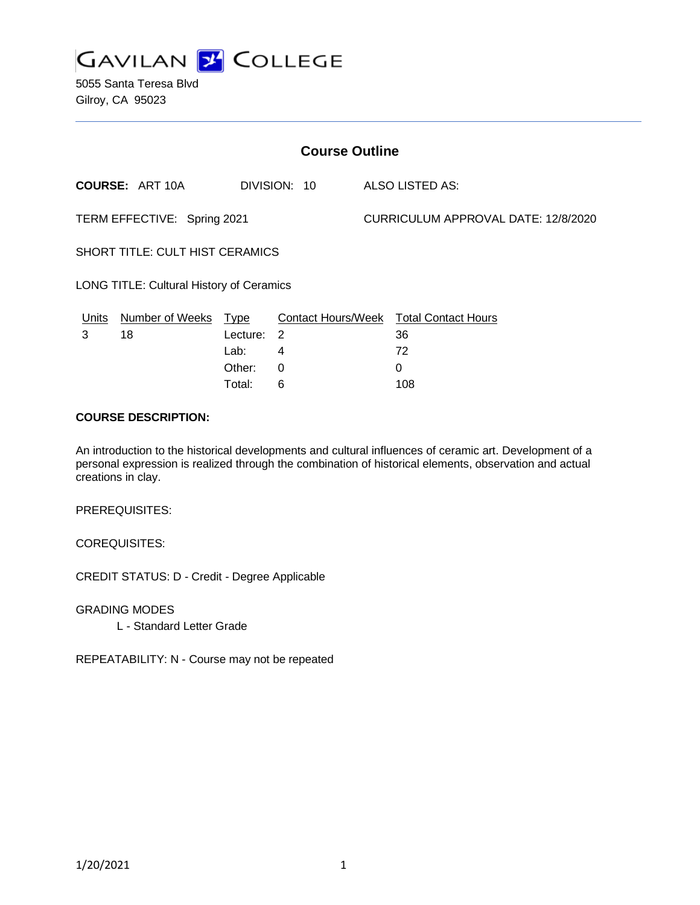

5055 Santa Teresa Blvd Gilroy, CA 95023

| <b>Course Outline</b>                    |                        |             |              |  |                                        |
|------------------------------------------|------------------------|-------------|--------------|--|----------------------------------------|
|                                          | <b>COURSE: ART 10A</b> |             | DIVISION: 10 |  | ALSO LISTED AS:                        |
| TERM EFFECTIVE: Spring 2021              |                        |             |              |  | CURRICULUM APPROVAL DATE: 12/8/2020    |
| <b>SHORT TITLE: CULT HIST CERAMICS</b>   |                        |             |              |  |                                        |
| LONG TITLE: Cultural History of Ceramics |                        |             |              |  |                                        |
| Units                                    | <b>Number of Weeks</b> | <b>Type</b> |              |  | Contact Hours/Week Total Contact Hours |
| 3                                        | 18                     | Lecture:    | -2           |  | 36                                     |
|                                          |                        | Lab:        | 4            |  | 72                                     |
|                                          |                        | Other:      | 0            |  | 0                                      |

### **COURSE DESCRIPTION:**

An introduction to the historical developments and cultural influences of ceramic art. Development of a personal expression is realized through the combination of historical elements, observation and actual creations in clay.

Total: 6 108

PREREQUISITES:

COREQUISITES:

CREDIT STATUS: D - Credit - Degree Applicable

GRADING MODES

L - Standard Letter Grade

REPEATABILITY: N - Course may not be repeated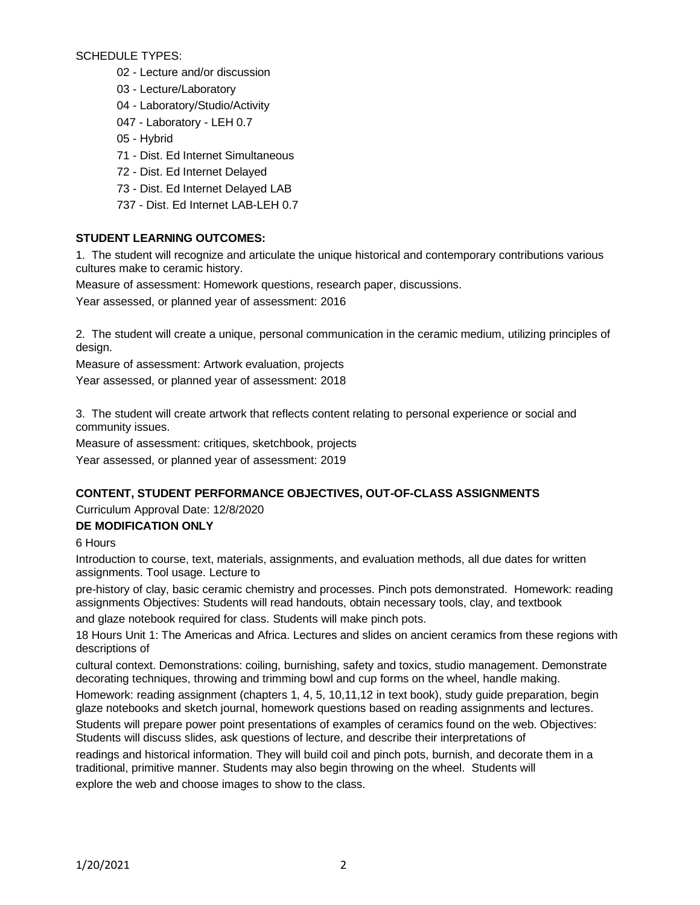SCHEDULE TYPES:

- 02 Lecture and/or discussion
- 03 Lecture/Laboratory
- 04 Laboratory/Studio/Activity
- 047 Laboratory LEH 0.7
- 05 Hybrid
- 71 Dist. Ed Internet Simultaneous
- 72 Dist. Ed Internet Delayed
- 73 Dist. Ed Internet Delayed LAB
- 737 Dist. Ed Internet LAB-LEH 0.7

# **STUDENT LEARNING OUTCOMES:**

1. The student will recognize and articulate the unique historical and contemporary contributions various cultures make to ceramic history.

Measure of assessment: Homework questions, research paper, discussions.

Year assessed, or planned year of assessment: 2016

2. The student will create a unique, personal communication in the ceramic medium, utilizing principles of design.

Measure of assessment: Artwork evaluation, projects Year assessed, or planned year of assessment: 2018

3. The student will create artwork that reflects content relating to personal experience or social and community issues.

Measure of assessment: critiques, sketchbook, projects

Year assessed, or planned year of assessment: 2019

## **CONTENT, STUDENT PERFORMANCE OBJECTIVES, OUT-OF-CLASS ASSIGNMENTS**

Curriculum Approval Date: 12/8/2020

## **DE MODIFICATION ONLY**

6 Hours

Introduction to course, text, materials, assignments, and evaluation methods, all due dates for written assignments. Tool usage. Lecture to

pre-history of clay, basic ceramic chemistry and processes. Pinch pots demonstrated. Homework: reading assignments Objectives: Students will read handouts, obtain necessary tools, clay, and textbook

and glaze notebook required for class. Students will make pinch pots.

18 Hours Unit 1: The Americas and Africa. Lectures and slides on ancient ceramics from these regions with descriptions of

cultural context. Demonstrations: coiling, burnishing, safety and toxics, studio management. Demonstrate decorating techniques, throwing and trimming bowl and cup forms on the wheel, handle making.

Homework: reading assignment (chapters 1, 4, 5, 10,11,12 in text book), study guide preparation, begin glaze notebooks and sketch journal, homework questions based on reading assignments and lectures.

Students will prepare power point presentations of examples of ceramics found on the web. Objectives: Students will discuss slides, ask questions of lecture, and describe their interpretations of

readings and historical information. They will build coil and pinch pots, burnish, and decorate them in a traditional, primitive manner. Students may also begin throwing on the wheel. Students will

explore the web and choose images to show to the class.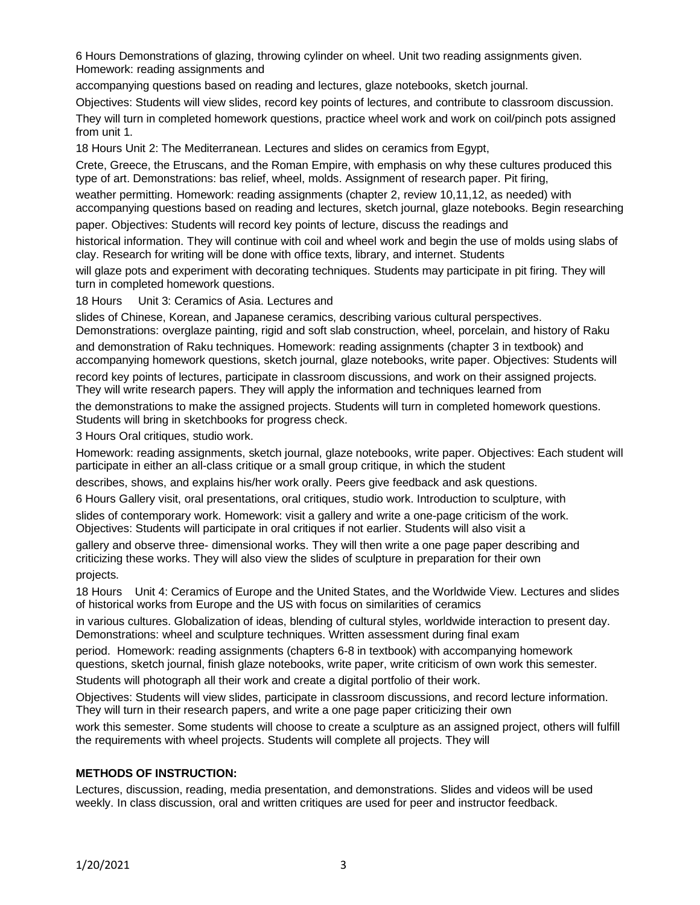6 Hours Demonstrations of glazing, throwing cylinder on wheel. Unit two reading assignments given. Homework: reading assignments and

accompanying questions based on reading and lectures, glaze notebooks, sketch journal.

Objectives: Students will view slides, record key points of lectures, and contribute to classroom discussion.

They will turn in completed homework questions, practice wheel work and work on coil/pinch pots assigned from unit 1.

18 Hours Unit 2: The Mediterranean. Lectures and slides on ceramics from Egypt,

Crete, Greece, the Etruscans, and the Roman Empire, with emphasis on why these cultures produced this type of art. Demonstrations: bas relief, wheel, molds. Assignment of research paper. Pit firing,

weather permitting. Homework: reading assignments (chapter 2, review 10,11,12, as needed) with accompanying questions based on reading and lectures, sketch journal, glaze notebooks. Begin researching

paper. Objectives: Students will record key points of lecture, discuss the readings and

historical information. They will continue with coil and wheel work and begin the use of molds using slabs of clay. Research for writing will be done with office texts, library, and internet. Students

will glaze pots and experiment with decorating techniques. Students may participate in pit firing. They will turn in completed homework questions.

18 Hours Unit 3: Ceramics of Asia. Lectures and

slides of Chinese, Korean, and Japanese ceramics, describing various cultural perspectives. Demonstrations: overglaze painting, rigid and soft slab construction, wheel, porcelain, and history of Raku and demonstration of Raku techniques. Homework: reading assignments (chapter 3 in textbook) and accompanying homework questions, sketch journal, glaze notebooks, write paper. Objectives: Students will

record key points of lectures, participate in classroom discussions, and work on their assigned projects. They will write research papers. They will apply the information and techniques learned from

the demonstrations to make the assigned projects. Students will turn in completed homework questions. Students will bring in sketchbooks for progress check.

3 Hours Oral critiques, studio work.

Homework: reading assignments, sketch journal, glaze notebooks, write paper. Objectives: Each student will participate in either an all-class critique or a small group critique, in which the student

describes, shows, and explains his/her work orally. Peers give feedback and ask questions.

6 Hours Gallery visit, oral presentations, oral critiques, studio work. Introduction to sculpture, with

slides of contemporary work. Homework: visit a gallery and write a one-page criticism of the work. Objectives: Students will participate in oral critiques if not earlier. Students will also visit a

gallery and observe three- dimensional works. They will then write a one page paper describing and criticizing these works. They will also view the slides of sculpture in preparation for their own projects.

18 Hours Unit 4: Ceramics of Europe and the United States, and the Worldwide View. Lectures and slides of historical works from Europe and the US with focus on similarities of ceramics

in various cultures. Globalization of ideas, blending of cultural styles, worldwide interaction to present day. Demonstrations: wheel and sculpture techniques. Written assessment during final exam

period. Homework: reading assignments (chapters 6-8 in textbook) with accompanying homework questions, sketch journal, finish glaze notebooks, write paper, write criticism of own work this semester.

Students will photograph all their work and create a digital portfolio of their work.

Objectives: Students will view slides, participate in classroom discussions, and record lecture information. They will turn in their research papers, and write a one page paper criticizing their own

work this semester. Some students will choose to create a sculpture as an assigned project, others will fulfill the requirements with wheel projects. Students will complete all projects. They will

### **METHODS OF INSTRUCTION:**

Lectures, discussion, reading, media presentation, and demonstrations. Slides and videos will be used weekly. In class discussion, oral and written critiques are used for peer and instructor feedback.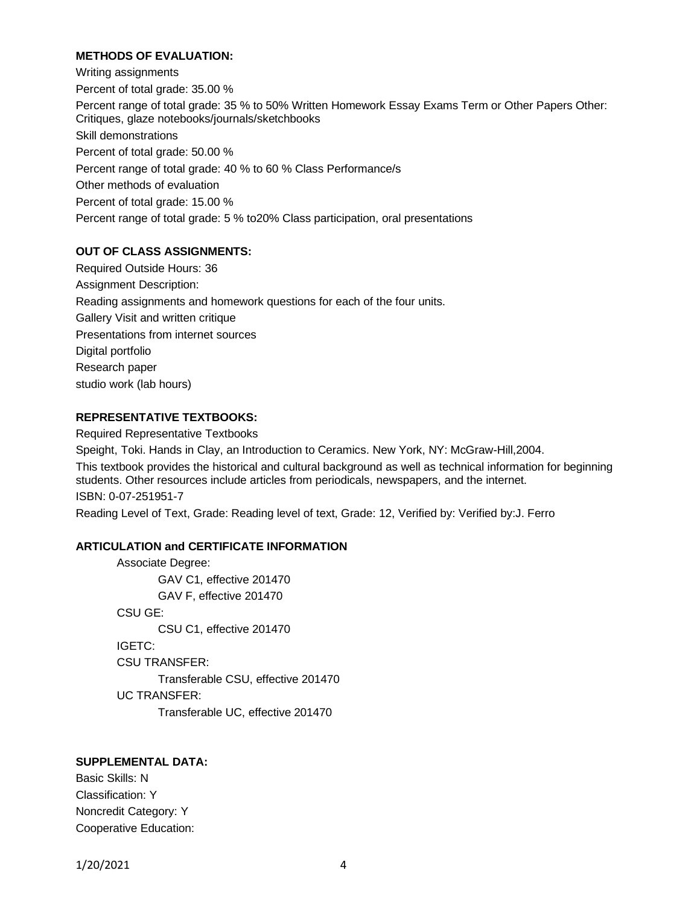## **METHODS OF EVALUATION:**

Writing assignments Percent of total grade: 35.00 % Percent range of total grade: 35 % to 50% Written Homework Essay Exams Term or Other Papers Other: Critiques, glaze notebooks/journals/sketchbooks Skill demonstrations Percent of total grade: 50.00 % Percent range of total grade: 40 % to 60 % Class Performance/s Other methods of evaluation Percent of total grade: 15.00 % Percent range of total grade: 5 % to20% Class participation, oral presentations

### **OUT OF CLASS ASSIGNMENTS:**

Required Outside Hours: 36 Assignment Description: Reading assignments and homework questions for each of the four units. Gallery Visit and written critique Presentations from internet sources Digital portfolio Research paper studio work (lab hours)

#### **REPRESENTATIVE TEXTBOOKS:**

Required Representative Textbooks Speight, Toki. Hands in Clay, an Introduction to Ceramics. New York, NY: McGraw-Hill,2004. This textbook provides the historical and cultural background as well as technical information for beginning students. Other resources include articles from periodicals, newspapers, and the internet. ISBN: 0-07-251951-7 Reading Level of Text, Grade: Reading level of text, Grade: 12, Verified by: Verified by:J. Ferro

### **ARTICULATION and CERTIFICATE INFORMATION**

Associate Degree: GAV C1, effective 201470 GAV F, effective 201470 CSU GE: CSU C1, effective 201470 IGETC: CSU TRANSFER: Transferable CSU, effective 201470 UC TRANSFER: Transferable UC, effective 201470

## **SUPPLEMENTAL DATA:**

Basic Skills: N Classification: Y Noncredit Category: Y Cooperative Education:

1/20/2021 4